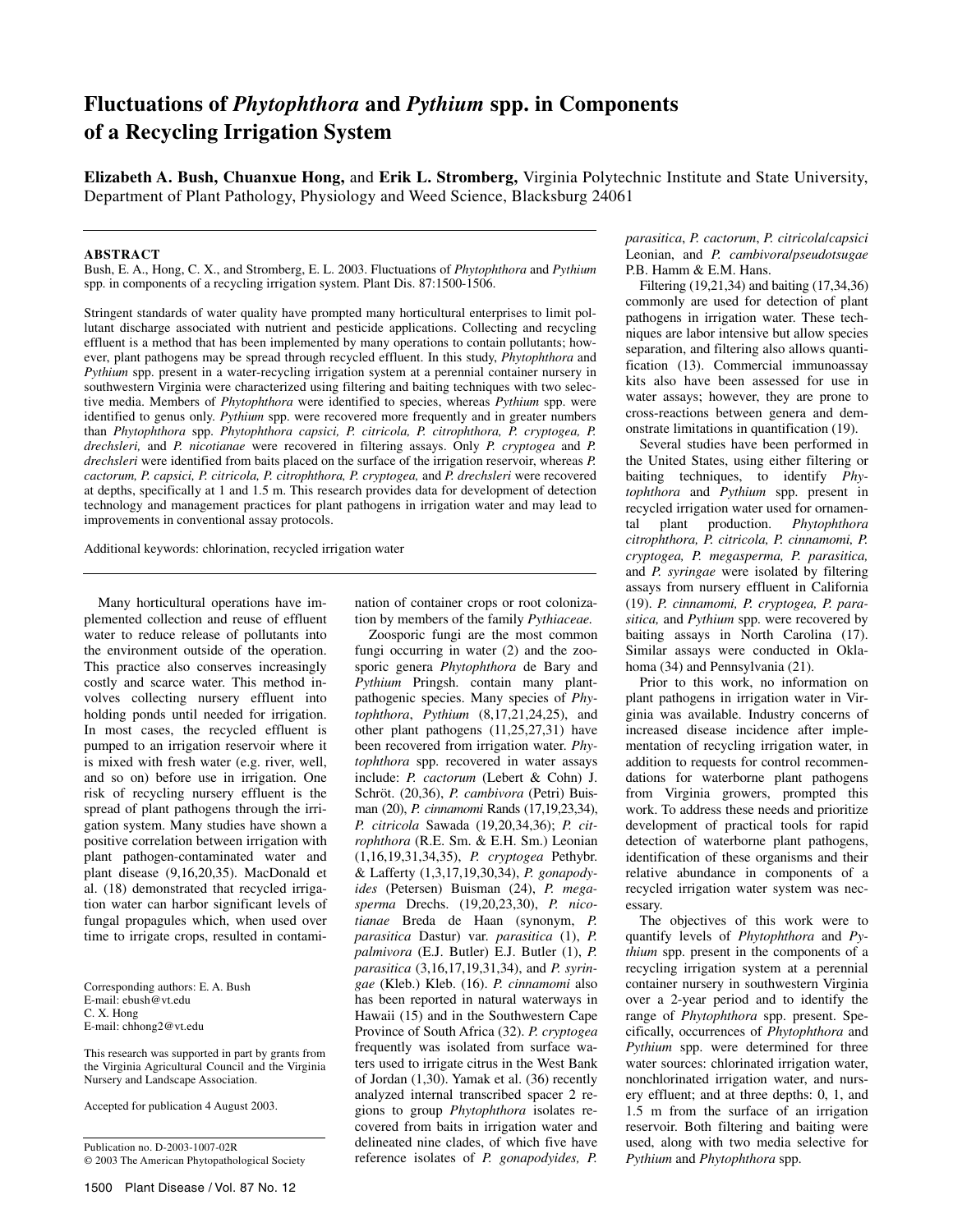# **Fluctuations of** *Phytophthora* **and** *Pythium* **spp. in Components of a Recycling Irrigation System**

**Elizabeth A. Bush, Chuanxue Hong,** and **Erik L. Stromberg,** Virginia Polytechnic Institute and State University, Department of Plant Pathology, Physiology and Weed Science, Blacksburg 24061

#### **ABSTRACT**

Bush, E. A., Hong, C. X., and Stromberg, E. L. 2003. Fluctuations of *Phytophthora* and *Pythium*  spp. in components of a recycling irrigation system. Plant Dis. 87:1500-1506.

Stringent standards of water quality have prompted many horticultural enterprises to limit pollutant discharge associated with nutrient and pesticide applications. Collecting and recycling effluent is a method that has been implemented by many operations to contain pollutants; however, plant pathogens may be spread through recycled effluent. In this study, *Phytophthora* and *Pythium* spp. present in a water-recycling irrigation system at a perennial container nursery in southwestern Virginia were characterized using filtering and baiting techniques with two selective media. Members of *Phytophthora* were identified to species, whereas *Pythium* spp. were identified to genus only. *Pythium* spp. were recovered more frequently and in greater numbers than *Phytophthora* spp. *Phytophthora capsici, P. citricola, P. citrophthora, P. cryptogea, P. drechsleri,* and *P. nicotianae* were recovered in filtering assays. Only *P. cryptogea* and *P. drechsleri* were identified from baits placed on the surface of the irrigation reservoir, whereas *P. cactorum, P. capsici, P. citricola, P. citrophthora, P. cryptogea,* and *P. drechsleri* were recovered at depths, specifically at 1 and 1.5 m. This research provides data for development of detection technology and management practices for plant pathogens in irrigation water and may lead to improvements in conventional assay protocols.

Additional keywords: chlorination, recycled irrigation water

Many horticultural operations have implemented collection and reuse of effluent water to reduce release of pollutants into the environment outside of the operation. This practice also conserves increasingly costly and scarce water. This method involves collecting nursery effluent into holding ponds until needed for irrigation. In most cases, the recycled effluent is pumped to an irrigation reservoir where it is mixed with fresh water (e.g. river, well, and so on) before use in irrigation. One risk of recycling nursery effluent is the spread of plant pathogens through the irrigation system. Many studies have shown a positive correlation between irrigation with plant pathogen-contaminated water and plant disease (9,16,20,35). MacDonald et al. (18) demonstrated that recycled irrigation water can harbor significant levels of fungal propagules which, when used over time to irrigate crops, resulted in contami-

Corresponding authors: E. A. Bush E-mail: ebush@vt.edu C. X. Hong E-mail: chhong2@vt.edu

This research was supported in part by grants from the Virginia Agricultural Council and the Virginia Nursery and Landscape Association.

Accepted for publication 4 August 2003.

Publication no. D-2003-1007-02R © 2003 The American Phytopathological Society

nation of container crops or root colonization by members of the family *Pythiaceae.*

Zoosporic fungi are the most common fungi occurring in water (2) and the zoosporic genera *Phytophthora* de Bary and *Pythium* Pringsh. contain many plantpathogenic species. Many species of *Phytophthora*, *Pythium* (8,17,21,24,25), and other plant pathogens (11,25,27,31) have been recovered from irrigation water. *Phytophthora* spp. recovered in water assays include: *P. cactorum* (Lebert & Cohn) J. Schröt. (20,36), *P. cambivora* (Petri) Buisman (20), *P. cinnamomi* Rands (17,19,23,34), *P. citricola* Sawada (19,20,34,36); *P. citrophthora* (R.E. Sm. & E.H. Sm.) Leonian (1,16,19,31,34,35), *P. cryptogea* Pethybr. & Lafferty (1,3,17,19,30,34), *P. gonapodyides* (Petersen) Buisman (24), *P. megasperma* Drechs. (19,20,23,30), *P. nicotianae* Breda de Haan (synonym, *P. parasitica* Dastur) var. *parasitica* (1), *P. palmivora* (E.J. Butler) E.J. Butler (1), *P. parasitica* (3,16,17,19,31,34), and *P. syringae* (Kleb.) Kleb. (16). *P. cinnamomi* also has been reported in natural waterways in Hawaii (15) and in the Southwestern Cape Province of South Africa (32). *P. cryptogea* frequently was isolated from surface waters used to irrigate citrus in the West Bank of Jordan (1,30). Yamak et al. (36) recently analyzed internal transcribed spacer 2 regions to group *Phytophthora* isolates recovered from baits in irrigation water and delineated nine clades, of which five have reference isolates of *P. gonapodyides, P.* 

*parasitica*, *P. cactorum*, *P. citricola*/*capsici*  Leonian, and *P. cambivora*/*pseudotsugae*  P.B. Hamm & E.M. Hans.

Filtering (19,21,34) and baiting (17,34,36) commonly are used for detection of plant pathogens in irrigation water. These techniques are labor intensive but allow species separation, and filtering also allows quantification (13). Commercial immunoassay kits also have been assessed for use in water assays; however, they are prone to cross-reactions between genera and demonstrate limitations in quantification (19).

Several studies have been performed in the United States, using either filtering or baiting techniques, to identify *Phytophthora* and *Pythium* spp. present in recycled irrigation water used for ornamental plant production. *Phytophthora citrophthora, P. citricola, P. cinnamomi, P. cryptogea, P. megasperma, P. parasitica,*  and *P. syringae* were isolated by filtering assays from nursery effluent in California (19). *P. cinnamomi, P. cryptogea, P. parasitica,* and *Pythium* spp. were recovered by baiting assays in North Carolina (17). Similar assays were conducted in Oklahoma (34) and Pennsylvania (21).

Prior to this work, no information on plant pathogens in irrigation water in Virginia was available. Industry concerns of increased disease incidence after implementation of recycling irrigation water, in addition to requests for control recommendations for waterborne plant pathogens from Virginia growers, prompted this work. To address these needs and prioritize development of practical tools for rapid detection of waterborne plant pathogens, identification of these organisms and their relative abundance in components of a recycled irrigation water system was necessary.

The objectives of this work were to quantify levels of *Phytophthora* and *Pythium* spp. present in the components of a recycling irrigation system at a perennial container nursery in southwestern Virginia over a 2-year period and to identify the range of *Phytophthora* spp. present. Specifically, occurrences of *Phytophthora* and *Pythium* spp. were determined for three water sources: chlorinated irrigation water, nonchlorinated irrigation water, and nursery effluent; and at three depths: 0, 1, and 1.5 m from the surface of an irrigation reservoir. Both filtering and baiting were used, along with two media selective for *Pythium* and *Phytophthora* spp.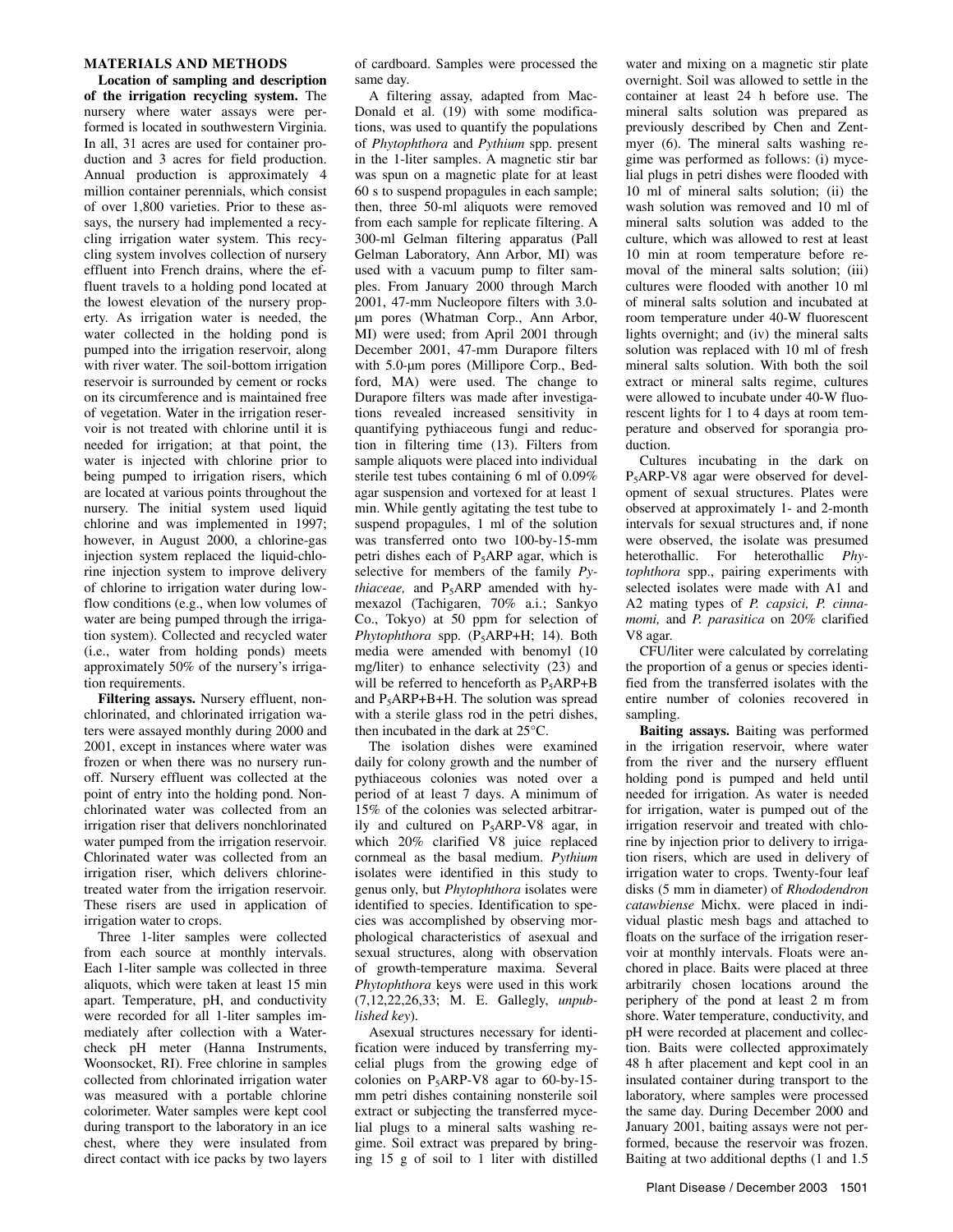## **MATERIALS AND METHODS**

**Location of sampling and description of the irrigation recycling system.** The nursery where water assays were performed is located in southwestern Virginia. In all, 31 acres are used for container production and 3 acres for field production. Annual production is approximately 4 million container perennials, which consist of over 1,800 varieties. Prior to these assays, the nursery had implemented a recycling irrigation water system. This recycling system involves collection of nursery effluent into French drains, where the effluent travels to a holding pond located at the lowest elevation of the nursery property. As irrigation water is needed, the water collected in the holding pond is pumped into the irrigation reservoir, along with river water. The soil-bottom irrigation reservoir is surrounded by cement or rocks on its circumference and is maintained free of vegetation. Water in the irrigation reservoir is not treated with chlorine until it is needed for irrigation; at that point, the water is injected with chlorine prior to being pumped to irrigation risers, which are located at various points throughout the nursery. The initial system used liquid chlorine and was implemented in 1997; however, in August 2000, a chlorine-gas injection system replaced the liquid-chlorine injection system to improve delivery of chlorine to irrigation water during lowflow conditions (e.g., when low volumes of water are being pumped through the irrigation system). Collected and recycled water (i.e., water from holding ponds) meets approximately 50% of the nursery's irrigation requirements.

**Filtering assays.** Nursery effluent, nonchlorinated, and chlorinated irrigation waters were assayed monthly during 2000 and 2001, except in instances where water was frozen or when there was no nursery runoff. Nursery effluent was collected at the point of entry into the holding pond. Nonchlorinated water was collected from an irrigation riser that delivers nonchlorinated water pumped from the irrigation reservoir. Chlorinated water was collected from an irrigation riser, which delivers chlorinetreated water from the irrigation reservoir. These risers are used in application of irrigation water to crops.

Three 1-liter samples were collected from each source at monthly intervals. Each 1-liter sample was collected in three aliquots, which were taken at least 15 min apart. Temperature, pH, and conductivity were recorded for all 1-liter samples immediately after collection with a Watercheck pH meter (Hanna Instruments, Woonsocket, RI). Free chlorine in samples collected from chlorinated irrigation water was measured with a portable chlorine colorimeter. Water samples were kept cool during transport to the laboratory in an ice chest, where they were insulated from direct contact with ice packs by two layers

of cardboard. Samples were processed the same day.

A filtering assay, adapted from Mac-Donald et al. (19) with some modifications, was used to quantify the populations of *Phytophthora* and *Pythium* spp. present in the 1-liter samples. A magnetic stir bar was spun on a magnetic plate for at least 60 s to suspend propagules in each sample; then, three 50-ml aliquots were removed from each sample for replicate filtering. A 300-ml Gelman filtering apparatus (Pall Gelman Laboratory, Ann Arbor, MI) was used with a vacuum pump to filter samples. From January 2000 through March 2001, 47-mm Nucleopore filters with 3.0 µm pores (Whatman Corp., Ann Arbor, MI) were used; from April 2001 through December 2001, 47-mm Durapore filters with 5.0-um pores (Millipore Corp., Bedford, MA) were used. The change to Durapore filters was made after investigations revealed increased sensitivity in quantifying pythiaceous fungi and reduction in filtering time (13). Filters from sample aliquots were placed into individual sterile test tubes containing 6 ml of 0.09% agar suspension and vortexed for at least 1 min. While gently agitating the test tube to suspend propagules, 1 ml of the solution was transferred onto two 100-by-15-mm petri dishes each of P5ARP agar, which is selective for members of the family *Pythiaceae*, and P<sub>5</sub>ARP amended with hymexazol (Tachigaren, 70% a.i.; Sankyo Co., Tokyo) at 50 ppm for selection of *Phytophthora* spp. (P5ARP+H; 14). Both media were amended with benomyl (10 mg/liter) to enhance selectivity (23) and will be referred to henceforth as  $P_5ARP+B$ and  $P_5ARP+B+H$ . The solution was spread with a sterile glass rod in the petri dishes, then incubated in the dark at 25°C.

The isolation dishes were examined daily for colony growth and the number of pythiaceous colonies was noted over a period of at least 7 days. A minimum of 15% of the colonies was selected arbitrarily and cultured on  $P_5$ ARP-V8 agar, in which 20% clarified V8 juice replaced cornmeal as the basal medium. *Pythium*  isolates were identified in this study to genus only, but *Phytophthora* isolates were identified to species. Identification to species was accomplished by observing morphological characteristics of asexual and sexual structures, along with observation of growth-temperature maxima. Several *Phytophthora* keys were used in this work (7,12,22,26,33; M. E. Gallegly, *unpublished key*).

Asexual structures necessary for identification were induced by transferring mycelial plugs from the growing edge of colonies on  $P_5$ ARP-V8 agar to 60-by-15mm petri dishes containing nonsterile soil extract or subjecting the transferred mycelial plugs to a mineral salts washing regime. Soil extract was prepared by bringing 15 g of soil to 1 liter with distilled

water and mixing on a magnetic stir plate overnight. Soil was allowed to settle in the container at least 24 h before use. The mineral salts solution was prepared as previously described by Chen and Zentmyer (6). The mineral salts washing regime was performed as follows: (i) mycelial plugs in petri dishes were flooded with 10 ml of mineral salts solution; (ii) the wash solution was removed and 10 ml of mineral salts solution was added to the culture, which was allowed to rest at least 10 min at room temperature before removal of the mineral salts solution; (iii) cultures were flooded with another 10 ml of mineral salts solution and incubated at room temperature under 40-W fluorescent lights overnight; and (iv) the mineral salts solution was replaced with 10 ml of fresh mineral salts solution. With both the soil extract or mineral salts regime, cultures were allowed to incubate under 40-W fluorescent lights for 1 to 4 days at room temperature and observed for sporangia production.

Cultures incubating in the dark on P5ARP-V8 agar were observed for development of sexual structures. Plates were observed at approximately 1- and 2-month intervals for sexual structures and, if none were observed, the isolate was presumed heterothallic. For heterothallic *Phytophthora* spp., pairing experiments with selected isolates were made with A1 and A2 mating types of *P. capsici, P. cinnamomi,* and *P. parasitica* on 20% clarified V8 agar.

CFU/liter were calculated by correlating the proportion of a genus or species identified from the transferred isolates with the entire number of colonies recovered in sampling.

**Baiting assays.** Baiting was performed in the irrigation reservoir, where water from the river and the nursery effluent holding pond is pumped and held until needed for irrigation. As water is needed for irrigation, water is pumped out of the irrigation reservoir and treated with chlorine by injection prior to delivery to irrigation risers, which are used in delivery of irrigation water to crops. Twenty-four leaf disks (5 mm in diameter) of *Rhododendron catawbiense* Michx. were placed in individual plastic mesh bags and attached to floats on the surface of the irrigation reservoir at monthly intervals. Floats were anchored in place. Baits were placed at three arbitrarily chosen locations around the periphery of the pond at least 2 m from shore. Water temperature, conductivity, and pH were recorded at placement and collection. Baits were collected approximately 48 h after placement and kept cool in an insulated container during transport to the laboratory, where samples were processed the same day. During December 2000 and January 2001, baiting assays were not performed, because the reservoir was frozen. Baiting at two additional depths (1 and 1.5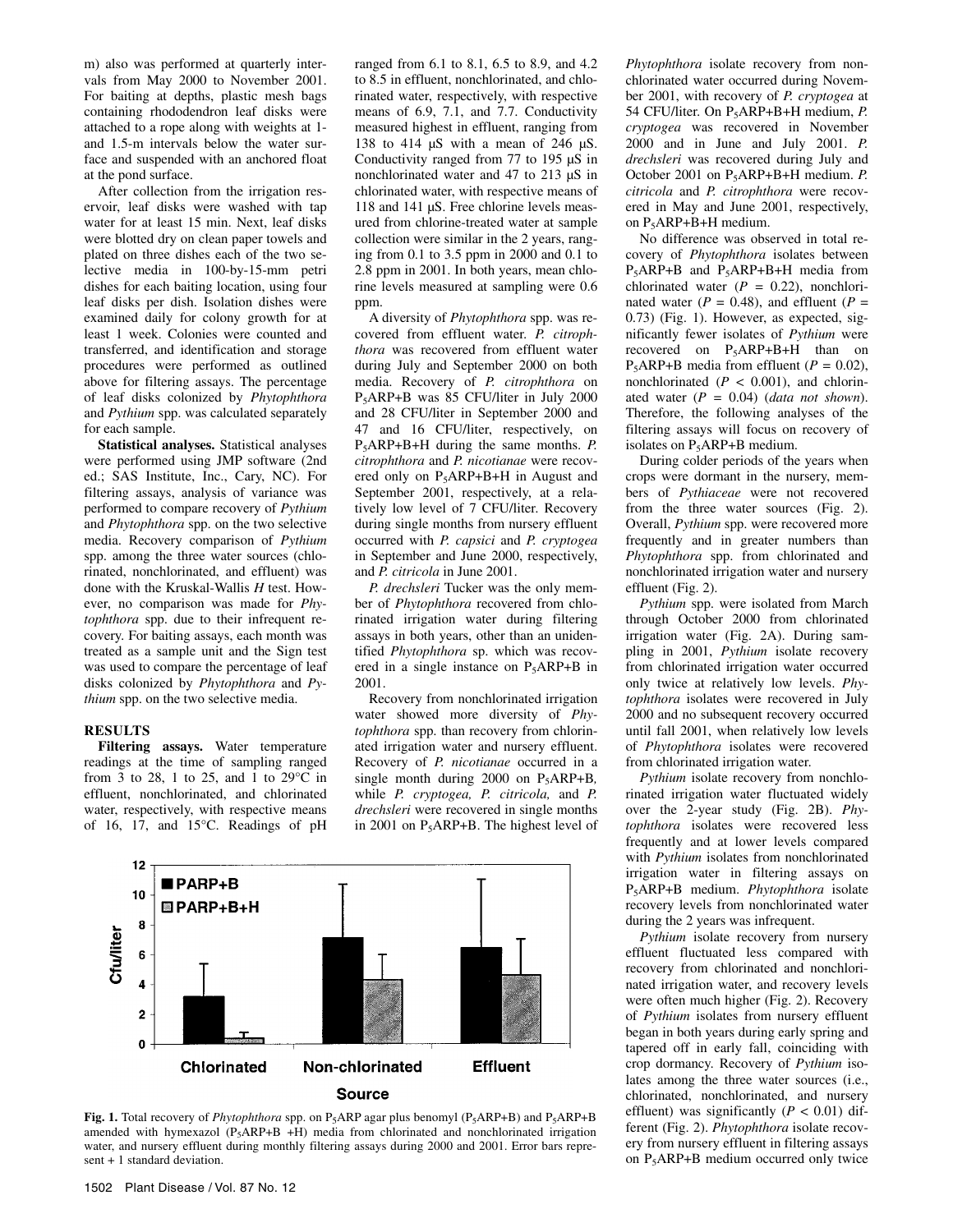m) also was performed at quarterly intervals from May 2000 to November 2001. For baiting at depths, plastic mesh bags containing rhododendron leaf disks were attached to a rope along with weights at 1 and 1.5-m intervals below the water surface and suspended with an anchored float at the pond surface.

After collection from the irrigation reservoir, leaf disks were washed with tap water for at least 15 min. Next, leaf disks were blotted dry on clean paper towels and plated on three dishes each of the two selective media in 100-by-15-mm petri dishes for each baiting location, using four leaf disks per dish. Isolation dishes were examined daily for colony growth for at least 1 week. Colonies were counted and transferred, and identification and storage procedures were performed as outlined above for filtering assays. The percentage of leaf disks colonized by *Phytophthora* and *Pythium* spp. was calculated separately for each sample.

**Statistical analyses.** Statistical analyses were performed using JMP software (2nd ed.; SAS Institute, Inc., Cary, NC). For filtering assays, analysis of variance was performed to compare recovery of *Pythium*  and *Phytophthora* spp. on the two selective media. Recovery comparison of *Pythium* spp. among the three water sources (chlorinated, nonchlorinated, and effluent) was done with the Kruskal-Wallis *H* test. However, no comparison was made for *Phytophthora* spp. due to their infrequent recovery. For baiting assays, each month was treated as a sample unit and the Sign test was used to compare the percentage of leaf disks colonized by *Phytophthora* and *Pythium* spp. on the two selective media.

#### **RESULTS**

**Filtering assays.** Water temperature readings at the time of sampling ranged from 3 to 28, 1 to 25, and 1 to 29°C in effluent, nonchlorinated, and chlorinated water, respectively, with respective means of 16, 17, and 15°C. Readings of pH

ranged from 6.1 to 8.1, 6.5 to 8.9, and 4.2 to 8.5 in effluent, nonchlorinated, and chlorinated water, respectively, with respective means of 6.9, 7.1, and 7.7. Conductivity measured highest in effluent, ranging from 138 to 414 µS with a mean of 246 µS. Conductivity ranged from 77 to 195 µS in nonchlorinated water and 47 to 213 µS in chlorinated water, with respective means of 118 and 141 µS. Free chlorine levels measured from chlorine-treated water at sample collection were similar in the 2 years, ranging from 0.1 to 3.5 ppm in 2000 and 0.1 to 2.8 ppm in 2001. In both years, mean chlorine levels measured at sampling were 0.6 ppm.

A diversity of *Phytophthora* spp. was recovered from effluent water. *P. citrophthora* was recovered from effluent water during July and September 2000 on both media. Recovery of *P. citrophthora* on P5ARP+B was 85 CFU/liter in July 2000 and 28 CFU/liter in September 2000 and 47 and 16 CFU/liter, respectively, on P5ARP+B+H during the same months. *P. citrophthora* and *P. nicotianae* were recovered only on P5ARP+B+H in August and September 2001, respectively, at a relatively low level of 7 CFU/liter. Recovery during single months from nursery effluent occurred with *P. capsici* and *P. cryptogea*  in September and June 2000, respectively, and *P. citricola* in June 2001.

*P. drechsleri* Tucker was the only member of *Phytophthora* recovered from chlorinated irrigation water during filtering assays in both years, other than an unidentified *Phytophthora* sp. which was recovered in a single instance on  $P_5$ ARP+B in 2001.

Recovery from nonchlorinated irrigation water showed more diversity of *Phytophthora* spp. than recovery from chlorinated irrigation water and nursery effluent. Recovery of *P. nicotianae* occurred in a single month during 2000 on P5ARP+B*,*  while *P. cryptogea, P. citricola,* and *P. drechsleri* were recovered in single months in 2001 on  $P_5$ ARP+B. The highest level of



Fig. 1. Total recovery of *Phytophthora* spp. on P<sub>5</sub>ARP agar plus benomyl (P<sub>5</sub>ARP+B) and P<sub>5</sub>ARP+B amended with hymexazol  $(P_5ARP+B +H)$  media from chlorinated and nonchlorinated irrigation water, and nursery effluent during monthly filtering assays during 2000 and 2001. Error bars represent + 1 standard deviation.

*Phytophthora* isolate recovery from nonchlorinated water occurred during November 2001, with recovery of *P. cryptogea* at 54 CFU/liter. On P5ARP+B+H medium, *P. cryptogea* was recovered in November 2000 and in June and July 2001. *P. drechsleri* was recovered during July and October 2001 on P5ARP+B+H medium. *P. citricola* and *P. citrophthora* were recovered in May and June 2001, respectively, on P5ARP+B+H medium.

No difference was observed in total recovery of *Phytophthora* isolates between  $P_5$ ARP+B and  $P_5$ ARP+B+H media from chlorinated water  $(P = 0.22)$ , nonchlorinated water ( $P = 0.48$ ), and effluent ( $P =$ 0.73) (Fig. 1). However, as expected, significantly fewer isolates of *Pythium* were recovered on P<sub>5</sub>ARP+B+H than on P5ARP+B media from effluent (*P =* 0.02), nonchlorinated  $(P < 0.001)$ , and chlorinated water (*P =* 0.04) (*data not shown*). Therefore, the following analyses of the filtering assays will focus on recovery of isolates on P5ARP+B medium.

During colder periods of the years when crops were dormant in the nursery, members of *Pythiaceae* were not recovered from the three water sources (Fig. 2). Overall, *Pythium* spp. were recovered more frequently and in greater numbers than *Phytophthora* spp. from chlorinated and nonchlorinated irrigation water and nursery effluent (Fig. 2).

*Pythium* spp. were isolated from March through October 2000 from chlorinated irrigation water (Fig. 2A). During sampling in 2001, *Pythium* isolate recovery from chlorinated irrigation water occurred only twice at relatively low levels. *Phytophthora* isolates were recovered in July 2000 and no subsequent recovery occurred until fall 2001, when relatively low levels of *Phytophthora* isolates were recovered from chlorinated irrigation water.

*Pythium* isolate recovery from nonchlorinated irrigation water fluctuated widely over the 2-year study (Fig. 2B). *Phytophthora* isolates were recovered less frequently and at lower levels compared with *Pythium* isolates from nonchlorinated irrigation water in filtering assays on P5ARP+B medium. *Phytophthora* isolate recovery levels from nonchlorinated water during the 2 years was infrequent.

*Pythium* isolate recovery from nursery effluent fluctuated less compared with recovery from chlorinated and nonchlorinated irrigation water, and recovery levels were often much higher (Fig. 2). Recovery of *Pythium* isolates from nursery effluent began in both years during early spring and tapered off in early fall, coinciding with crop dormancy. Recovery of *Pythium* isolates among the three water sources (i.e., chlorinated, nonchlorinated, and nursery effluent) was significantly  $(P < 0.01)$  different (Fig. 2). *Phytophthora* isolate recovery from nursery effluent in filtering assays on P5ARP+B medium occurred only twice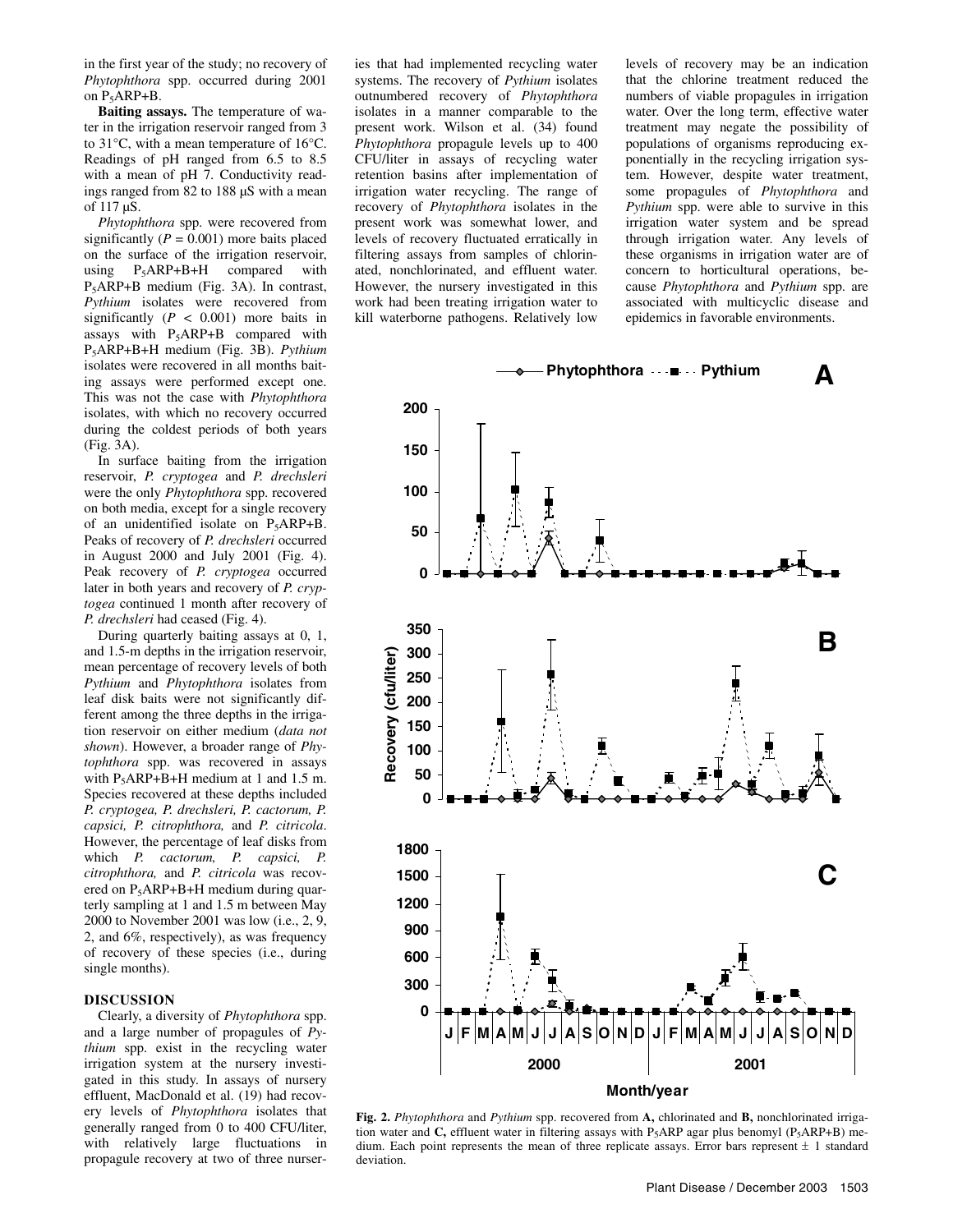in the first year of the study; no recovery of *Phytophthora* spp. occurred during 2001 on  $P_5$ ARP+B.

**Baiting assays.** The temperature of water in the irrigation reservoir ranged from 3 to 31°C, with a mean temperature of 16°C. Readings of pH ranged from 6.5 to 8.5 with a mean of pH 7. Conductivity readings ranged from 82 to 188 µS with a mean of 117 µS.

*Phytophthora* spp. were recovered from significantly  $(P = 0.001)$  more baits placed on the surface of the irrigation reservoir, using  $P_5$ ARP+B+H compared with P5ARP+B medium (Fig. 3A). In contrast, *Pythium* isolates were recovered from significantly  $(P < 0.001)$  more baits in assays with P5ARP+B compared with P5ARP+B+H medium (Fig. 3B). *Pythium*  isolates were recovered in all months baiting assays were performed except one. This was not the case with *Phytophthora* isolates, with which no recovery occurred during the coldest periods of both years (Fig. 3A).

In surface baiting from the irrigation reservoir, *P. cryptogea* and *P. drechsleri*  were the only *Phytophthora* spp. recovered on both media, except for a single recovery of an unidentified isolate on  $P_5ARP+B$ . Peaks of recovery of *P. drechsleri* occurred in August 2000 and July 2001 (Fig. 4). Peak recovery of *P. cryptogea* occurred later in both years and recovery of *P. cryptogea* continued 1 month after recovery of *P. drechsleri* had ceased (Fig. 4).

During quarterly baiting assays at 0, 1, and 1.5-m depths in the irrigation reservoir, mean percentage of recovery levels of both *Pythium* and *Phytophthora* isolates from leaf disk baits were not significantly different among the three depths in the irrigation reservoir on either medium (*data not shown*). However, a broader range of *Phytophthora* spp. was recovered in assays with  $P_5$ ARP+B+H medium at 1 and 1.5 m. Species recovered at these depths included *P. cryptogea, P. drechsleri, P. cactorum, P. capsici, P. citrophthora,* and *P. citricola*. However, the percentage of leaf disks from which *P. cactorum, P. capsici, P. citrophthora,* and *P. citricola* was recovered on P5ARP+B+H medium during quarterly sampling at 1 and 1.5 m between May 2000 to November 2001 was low (i.e., 2, 9, 2, and 6%, respectively), as was frequency of recovery of these species (i.e., during single months).

# **DISCUSSION**

Clearly, a diversity of *Phytophthora* spp. and a large number of propagules of *Pythium* spp. exist in the recycling water irrigation system at the nursery investigated in this study. In assays of nursery effluent, MacDonald et al. (19) had recovery levels of *Phytophthora* isolates that generally ranged from 0 to 400 CFU/liter, with relatively large fluctuations in propagule recovery at two of three nurser-

ies that had implemented recycling water systems. The recovery of *Pythium* isolates outnumbered recovery of *Phytophthora*  isolates in a manner comparable to the present work. Wilson et al. (34) found *Phytophthora* propagule levels up to 400 CFU/liter in assays of recycling water retention basins after implementation of irrigation water recycling. The range of recovery of *Phytophthora* isolates in the present work was somewhat lower, and levels of recovery fluctuated erratically in filtering assays from samples of chlorinated, nonchlorinated, and effluent water. However, the nursery investigated in this work had been treating irrigation water to kill waterborne pathogens. Relatively low

levels of recovery may be an indication that the chlorine treatment reduced the numbers of viable propagules in irrigation water. Over the long term, effective water treatment may negate the possibility of populations of organisms reproducing exponentially in the recycling irrigation system. However, despite water treatment, some propagules of *Phytophthora* and *Pythium* spp. were able to survive in this irrigation water system and be spread through irrigation water. Any levels of these organisms in irrigation water are of concern to horticultural operations, because *Phytophthora* and *Pythium* spp. are associated with multicyclic disease and epidemics in favorable environments.



**Fig. 2.** *Phytophthora* and *Pythium* spp. recovered from **A,** chlorinated and **B,** nonchlorinated irrigation water and **C**, effluent water in filtering assays with  $P_5$ ARP agar plus benomyl ( $P_5$ ARP+B) medium. Each point represents the mean of three replicate assays. Error bars represent  $\pm$  1 standard deviation.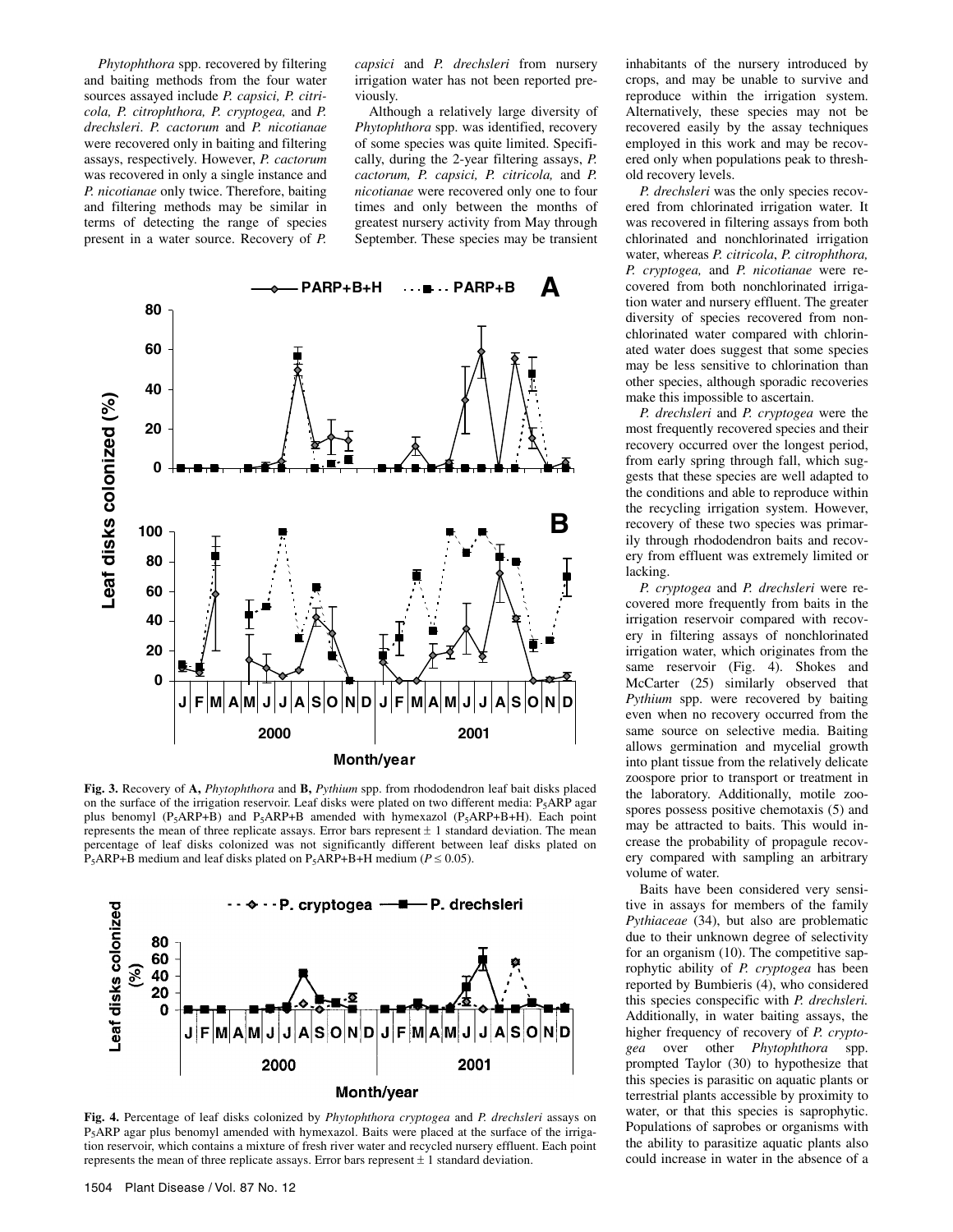*Phytophthora* spp. recovered by filtering and baiting methods from the four water sources assayed include *P. capsici, P. citricola, P. citrophthora, P. cryptogea,* and *P. drechsleri*. *P. cactorum* and *P. nicotianae*  were recovered only in baiting and filtering assays, respectively. However, *P. cactorum*  was recovered in only a single instance and *P. nicotianae* only twice. Therefore, baiting and filtering methods may be similar in terms of detecting the range of species present in a water source. Recovery of *P.* 

*capsici* and *P. drechsleri* from nursery irrigation water has not been reported previously.

Although a relatively large diversity of *Phytophthora* spp. was identified, recovery of some species was quite limited. Specifically, during the 2-year filtering assays, *P. cactorum, P. capsici, P. citricola,* and *P. nicotianae* were recovered only one to four times and only between the months of greatest nursery activity from May through September. These species may be transient



**Fig. 3.** Recovery of **A,** *Phytophthora* and **B,** *Pythium* spp. from rhododendron leaf bait disks placed on the surface of the irrigation reservoir. Leaf disks were plated on two different media:  $P_5APR$  agar plus benomyl (P<sub>5</sub>ARP+B) and P<sub>5</sub>ARP+B amended with hymexazol (P<sub>5</sub>ARP+B+H). Each point represents the mean of three replicate assays. Error bars represent  $\pm 1$  standard deviation. The mean percentage of leaf disks colonized was not significantly different between leaf disks plated on  $P_5$ ARP+B medium and leaf disks plated on  $P_5$ ARP+B+H medium ( $P \le 0.05$ ).



**Fig. 4.** Percentage of leaf disks colonized by *Phytophthora cryptogea* and *P. drechsleri* assays on P5ARP agar plus benomyl amended with hymexazol. Baits were placed at the surface of the irrigation reservoir, which contains a mixture of fresh river water and recycled nursery effluent. Each point represents the mean of three replicate assays. Error bars represent  $\pm$  1 standard deviation.

inhabitants of the nursery introduced by crops, and may be unable to survive and reproduce within the irrigation system. Alternatively, these species may not be recovered easily by the assay techniques employed in this work and may be recovered only when populations peak to threshold recovery levels.

*P. drechsleri* was the only species recovered from chlorinated irrigation water. It was recovered in filtering assays from both chlorinated and nonchlorinated irrigation water, whereas *P. citricola*, *P. citrophthora, P. cryptogea,* and *P. nicotianae* were recovered from both nonchlorinated irrigation water and nursery effluent. The greater diversity of species recovered from nonchlorinated water compared with chlorinated water does suggest that some species may be less sensitive to chlorination than other species, although sporadic recoveries make this impossible to ascertain.

*P. drechsleri* and *P. cryptogea* were the most frequently recovered species and their recovery occurred over the longest period, from early spring through fall, which suggests that these species are well adapted to the conditions and able to reproduce within the recycling irrigation system. However, recovery of these two species was primarily through rhododendron baits and recovery from effluent was extremely limited or lacking.

*P. cryptogea* and *P. drechsleri* were recovered more frequently from baits in the irrigation reservoir compared with recovery in filtering assays of nonchlorinated irrigation water, which originates from the same reservoir (Fig. 4). Shokes and McCarter (25) similarly observed that *Pythium* spp. were recovered by baiting even when no recovery occurred from the same source on selective media. Baiting allows germination and mycelial growth into plant tissue from the relatively delicate zoospore prior to transport or treatment in the laboratory. Additionally, motile zoospores possess positive chemotaxis (5) and may be attracted to baits. This would increase the probability of propagule recovery compared with sampling an arbitrary volume of water.

Baits have been considered very sensitive in assays for members of the family *Pythiaceae* (34), but also are problematic due to their unknown degree of selectivity for an organism (10). The competitive saprophytic ability of *P. cryptogea* has been reported by Bumbieris (4), who considered this species conspecific with *P. drechsleri.*  Additionally, in water baiting assays, the higher frequency of recovery of *P. cryptogea* over other *Phytophthora* spp. prompted Taylor (30) to hypothesize that this species is parasitic on aquatic plants or terrestrial plants accessible by proximity to water, or that this species is saprophytic. Populations of saprobes or organisms with the ability to parasitize aquatic plants also could increase in water in the absence of a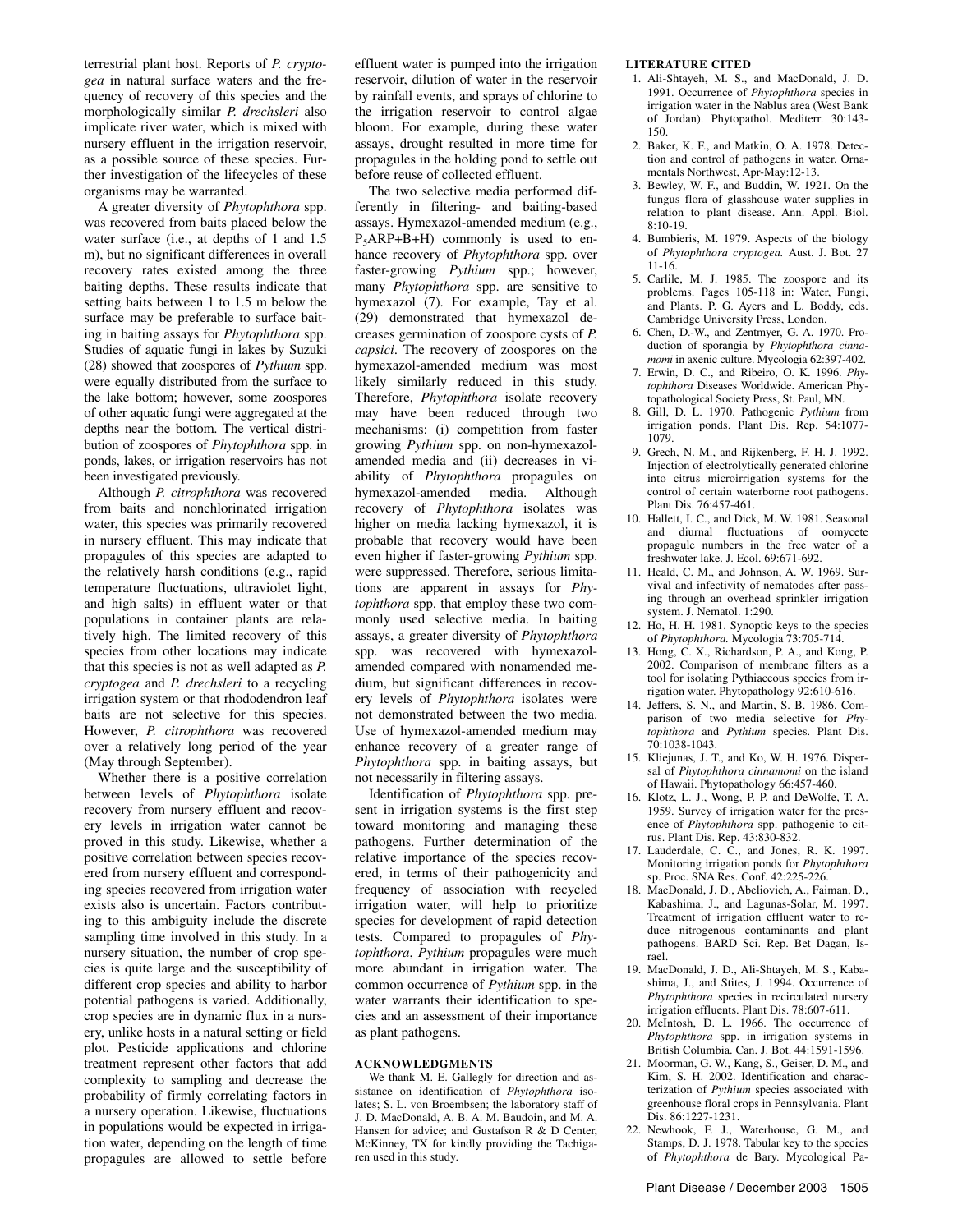terrestrial plant host. Reports of *P. cryptogea* in natural surface waters and the frequency of recovery of this species and the morphologically similar *P. drechsleri* also implicate river water, which is mixed with nursery effluent in the irrigation reservoir, as a possible source of these species. Further investigation of the lifecycles of these organisms may be warranted.

A greater diversity of *Phytophthora* spp. was recovered from baits placed below the water surface (i.e., at depths of 1 and 1.5 m), but no significant differences in overall recovery rates existed among the three baiting depths. These results indicate that setting baits between 1 to 1.5 m below the surface may be preferable to surface baiting in baiting assays for *Phytophthora* spp. Studies of aquatic fungi in lakes by Suzuki (28) showed that zoospores of *Pythium* spp. were equally distributed from the surface to the lake bottom; however, some zoospores of other aquatic fungi were aggregated at the depths near the bottom. The vertical distribution of zoospores of *Phytophthora* spp. in ponds, lakes, or irrigation reservoirs has not been investigated previously.

Although *P. citrophthora* was recovered from baits and nonchlorinated irrigation water, this species was primarily recovered in nursery effluent. This may indicate that propagules of this species are adapted to the relatively harsh conditions (e.g., rapid temperature fluctuations, ultraviolet light, and high salts) in effluent water or that populations in container plants are relatively high. The limited recovery of this species from other locations may indicate that this species is not as well adapted as *P. cryptogea* and *P. drechsleri* to a recycling irrigation system or that rhododendron leaf baits are not selective for this species. However, *P. citrophthora* was recovered over a relatively long period of the year (May through September).

Whether there is a positive correlation between levels of *Phytophthora* isolate recovery from nursery effluent and recovery levels in irrigation water cannot be proved in this study. Likewise, whether a positive correlation between species recovered from nursery effluent and corresponding species recovered from irrigation water exists also is uncertain. Factors contributing to this ambiguity include the discrete sampling time involved in this study. In a nursery situation, the number of crop species is quite large and the susceptibility of different crop species and ability to harbor potential pathogens is varied. Additionally, crop species are in dynamic flux in a nursery, unlike hosts in a natural setting or field plot. Pesticide applications and chlorine treatment represent other factors that add complexity to sampling and decrease the probability of firmly correlating factors in a nursery operation. Likewise, fluctuations in populations would be expected in irrigation water, depending on the length of time propagules are allowed to settle before

effluent water is pumped into the irrigation reservoir, dilution of water in the reservoir by rainfall events, and sprays of chlorine to the irrigation reservoir to control algae bloom. For example, during these water assays, drought resulted in more time for propagules in the holding pond to settle out before reuse of collected effluent.

The two selective media performed differently in filtering- and baiting-based assays. Hymexazol-amended medium (e.g., P5ARP+B+H) commonly is used to enhance recovery of *Phytophthora* spp. over faster-growing *Pythium* spp.; however, many *Phytophthora* spp. are sensitive to hymexazol (7). For example, Tay et al. (29) demonstrated that hymexazol decreases germination of zoospore cysts of *P. capsici*. The recovery of zoospores on the hymexazol-amended medium was most likely similarly reduced in this study. Therefore, *Phytophthora* isolate recovery may have been reduced through two mechanisms: (i) competition from faster growing *Pythium* spp. on non-hymexazolamended media and (ii) decreases in viability of *Phytophthora* propagules on hymexazol-amended media. Although recovery of *Phytophthora* isolates was higher on media lacking hymexazol, it is probable that recovery would have been even higher if faster-growing *Pythium* spp. were suppressed. Therefore, serious limitations are apparent in assays for *Phytophthora* spp. that employ these two commonly used selective media. In baiting assays, a greater diversity of *Phytophthora*  spp. was recovered with hymexazolamended compared with nonamended medium, but significant differences in recovery levels of *Phytophthora* isolates were not demonstrated between the two media. Use of hymexazol-amended medium may enhance recovery of a greater range of *Phytophthora* spp. in baiting assays, but not necessarily in filtering assays.

Identification of *Phytophthora* spp. present in irrigation systems is the first step toward monitoring and managing these pathogens. Further determination of the relative importance of the species recovered, in terms of their pathogenicity and frequency of association with recycled irrigation water, will help to prioritize species for development of rapid detection tests. Compared to propagules of *Phytophthora*, *Pythium* propagules were much more abundant in irrigation water. The common occurrence of *Pythium* spp. in the water warrants their identification to species and an assessment of their importance as plant pathogens.

#### **ACKNOWLEDGMENTS**

We thank M. E. Gallegly for direction and assistance on identification of *Phytophthora* isolates; S. L. von Broembsen; the laboratory staff of J. D. MacDonald, A. B. A. M. Baudoin, and M. A. Hansen for advice; and Gustafson R & D Center, McKinney, TX for kindly providing the Tachigaren used in this study.

## **LITERATURE CITED**

- 1. Ali-Shtayeh, M. S., and MacDonald, J. D. 1991. Occurrence of *Phytophthora* species in irrigation water in the Nablus area (West Bank of Jordan). Phytopathol. Mediterr. 30:143- 150.
- 2. Baker, K. F., and Matkin, O. A. 1978. Detection and control of pathogens in water. Ornamentals Northwest, Apr-May:12-13.
- 3. Bewley, W. F., and Buddin, W. 1921. On the fungus flora of glasshouse water supplies in relation to plant disease. Ann. Appl. Biol. 8:10-19.
- 4. Bumbieris, M. 1979. Aspects of the biology of *Phytophthora cryptogea.* Aust. J. Bot. 27 11-16.
- 5. Carlile, M. J. 1985. The zoospore and its problems. Pages 105-118 in: Water, Fungi, and Plants. P. G. Ayers and L. Boddy, eds. Cambridge University Press, London.
- 6. Chen, D.-W., and Zentmyer, G. A. 1970. Production of sporangia by *Phytophthora cinnamomi* in axenic culture. Mycologia 62:397-402.
- 7. Erwin, D. C., and Ribeiro, O. K. 1996. *Phytophthora* Diseases Worldwide. American Phytopathological Society Press, St. Paul, MN.
- 8. Gill, D. L. 1970. Pathogenic *Pythium* from irrigation ponds. Plant Dis. Rep. 54:1077- 1079.
- 9. Grech, N. M., and Rijkenberg, F. H. J. 1992. Injection of electrolytically generated chlorine into citrus microirrigation systems for the control of certain waterborne root pathogens. Plant Dis. 76:457-461.
- 10. Hallett, I. C., and Dick, M. W. 1981. Seasonal and diurnal fluctuations of oomycete propagule numbers in the free water of a freshwater lake. J. Ecol. 69:671-692.
- 11. Heald, C. M., and Johnson, A. W. 1969. Survival and infectivity of nematodes after passing through an overhead sprinkler irrigation system. J. Nematol. 1:290.
- 12. Ho, H. H. 1981. Synoptic keys to the species of *Phytophthora.* Mycologia 73:705-714.
- 13. Hong, C. X., Richardson, P. A., and Kong, P. 2002. Comparison of membrane filters as a tool for isolating Pythiaceous species from irrigation water. Phytopathology 92:610-616.
- 14. Jeffers, S. N., and Martin, S. B. 1986. Comparison of two media selective for *Phytophthora* and *Pythium* species. Plant Dis. 70:1038-1043.
- 15. Kliejunas, J. T., and Ko, W. H. 1976. Dispersal of *Phytophthora cinnamomi* on the island of Hawaii. Phytopathology 66:457-460.
- 16. Klotz, L. J., Wong, P. P, and DeWolfe, T. A. 1959. Survey of irrigation water for the presence of *Phytophthora* spp. pathogenic to citrus. Plant Dis. Rep. 43:830-832.
- 17. Lauderdale, C. C., and Jones, R. K. 1997. Monitoring irrigation ponds for *Phytophthora* sp. Proc. SNA Res. Conf. 42:225-226.
- 18. MacDonald, J. D., Abeliovich, A., Faiman, D., Kabashima, J., and Lagunas-Solar, M. 1997. Treatment of irrigation effluent water to reduce nitrogenous contaminants and plant pathogens. BARD Sci. Rep. Bet Dagan, Israel.
- 19. MacDonald, J. D., Ali-Shtayeh, M. S., Kabashima, J., and Stites, J. 1994. Occurrence of *Phytophthora* species in recirculated nursery irrigation effluents. Plant Dis. 78:607-611.
- 20. McIntosh, D. L. 1966. The occurrence of *Phytophthora* spp. in irrigation systems in British Columbia. Can. J. Bot. 44:1591-1596.
- 21. Moorman, G. W., Kang, S., Geiser, D. M., and Kim, S. H. 2002. Identification and characterization of *Pythium* species associated with greenhouse floral crops in Pennsylvania. Plant Dis. 86:1227-1231.
- 22. Newhook, F. J., Waterhouse, G. M., and Stamps, D. J. 1978. Tabular key to the species of *Phytophthora* de Bary. Mycological Pa-